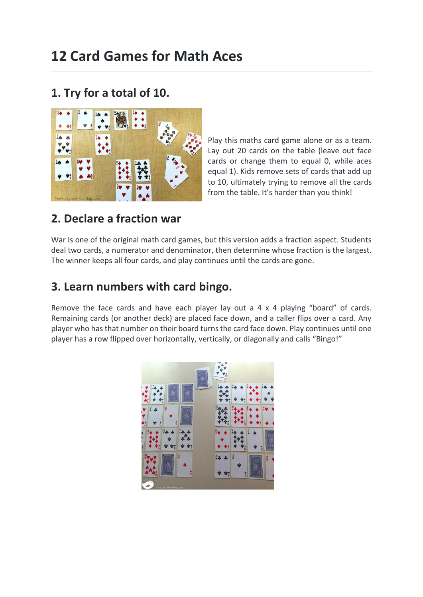# **12 Card Games for Math Aces**

# **1. Try for a total of 10.**



Play this maths card game alone or as a team. Lay out 20 cards on the table (leave out face cards or change them to equal 0, while aces equal 1). Kids remove sets of cards that add up to 10, ultimately trying to remove all the cards from the table. It's harder than you think!

# **2. Declare a fraction war**

War is one of the original math card games, but this version adds a fraction aspect. Students deal two cards, a numerator and denominator, then determine whose fraction is the largest. The winner keeps all four cards, and play continues until the cards are gone.

# **3. Learn numbers with card bingo.**

Remove the face cards and have each player lay out a 4 x 4 playing "board" of cards. Remaining cards (or another deck) are placed face down, and a caller flips over a card. Any player who has that number on their board turns the card face down. Play continues until one player has a row flipped over horizontally, vertically, or diagonally and calls "Bingo!"

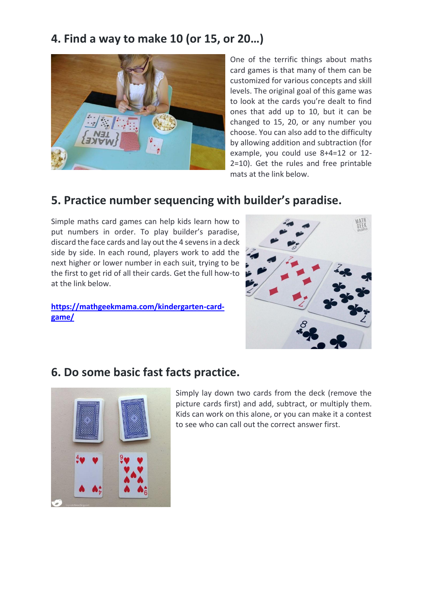# **4. Find a way to make 10 (or 15, or 20…)**



One of the terrific things about maths card games is that many of them can be customized for various concepts and skill levels. The original goal of this game was to look at the cards you're dealt to find ones that add up to 10, but it can be changed to 15, 20, or any number you choose. You can also add to the difficulty by allowing addition and subtraction (for example, you could use 8+4=12 or 12- 2=10). Get the rules and free printable mats at the link below.

# **5. Practice number sequencing with builder's paradise.**

Simple maths card games can help kids learn how to put numbers in order. To play builder's paradise, discard the face cards and lay out the 4 sevens in a deck side by side. In each round, players work to add the next higher or lower number in each suit, trying to be the first to get rid of all their cards. Get the full how-to at the link below.

**[https://mathgeekmama.com/kindergarten-card](https://mathgeekmama.com/kindergarten-card-game/)[game/](https://mathgeekmama.com/kindergarten-card-game/)**



#### **6. Do some basic fast facts practice.**



Simply lay down two cards from the deck (remove the picture cards first) and add, subtract, or multiply them. Kids can work on this alone, or you can make it a contest to see who can call out the correct answer first.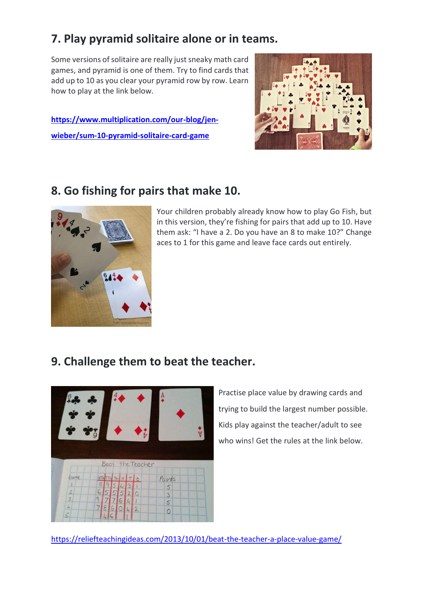# **7. Play pyramid solitaire alone or in teams.**

Some versions of solitaire are really just sneaky math card games, and pyramid is one of them. Try to find cards that add up to 10 as you clear your pyramid row by row. Learn how to play at the link below.

**[https://www.multiplication.com/our-blog/jen](https://www.multiplication.com/our-blog/jen-wieber/sum-10-pyramid-solitaire-card-game)[wieber/sum-10-pyramid-solitaire-card-game](https://www.multiplication.com/our-blog/jen-wieber/sum-10-pyramid-solitaire-card-game)**



# **8. Go fishing for pairs that make 10.**



Your children probably already know how to play Go Fish, but in this version, they're fishing for pairs that add up to 10. Have them ask: "I have a 2. Do you have an 8 to make 10?" Change aces to 1 for this game and leave face cards out entirely.

#### **9. Challenge them to beat the teacher.**



Practise place value by drawing cards and trying to build the largest number possible. Kids play against the teacher/adult to see who wins! Get the rules at the link below.

<https://reliefteachingideas.com/2013/10/01/beat-the-teacher-a-place-value-game/>